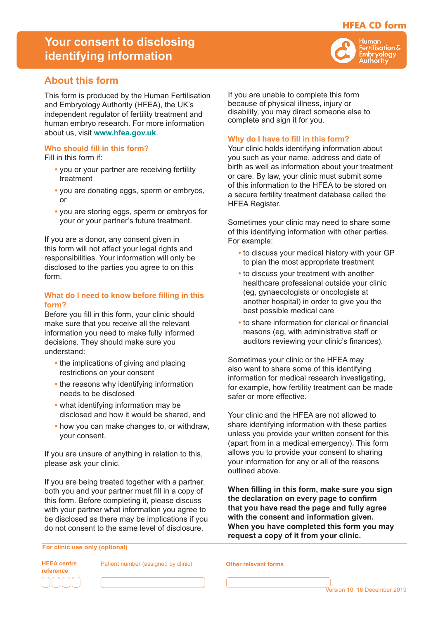## **HFEA CD form**

*<u>ertilisation &</u>* Embryology Authority

# **Your consent to disclosing identifying information**

## **About this form**

This form is produced by the Human Fertilisation and Embryology Authority (HFEA), the UK's independent regulator of fertility treatment and human embryo research. For more information about us, visit **www.hfea.gov.uk**.

### **Who should fill in this form?**

Fill in this form if:

- **•** you or your partner are receiving fertility treatment
- **•** you are donating eggs, sperm or embryos, or
- **•** you are storing eggs, sperm or embryos for your or your partner's future treatment.

If you are a donor, any consent given in this form will not affect your legal rights and responsibilities. Your information will only be disclosed to the parties you agree to on this form.

### **What do I need to know before filling in this form?**

Before you fill in this form, your clinic should make sure that you receive all the relevant information you need to make fully informed decisions. They should make sure you understand:

- **•** the implications of giving and placing restrictions on your consent
- **•** the reasons why identifying information needs to be disclosed
- **•** what identifying information may be disclosed and how it would be shared, and
- **•** how you can make changes to, or withdraw, your consent.

If you are unsure of anything in relation to this, please ask your clinic.

If you are being treated together with a partner, both you and your partner must fill in a copy of this form. Before completing it, please discuss with your partner what information you agree to be disclosed as there may be implications if you do not consent to the same level of disclosure.

**For clinic use only (optional)**



**HFEA centre** Patient number (assigned by clinic) **Other relevant forms**

If you are unable to complete this form because of physical illness, injury or disability, you may direct someone else to complete and sign it for you.

### **Why do I have to fill in this form?**

Your clinic holds identifying information about you such as your name, address and date of birth as well as information about your treatment or care. By law, your clinic must submit some of this information to the HFEA to be stored on a secure fertility treatment database called the HFEA Register.

Sometimes your clinic may need to share some of this identifying information with other parties. For example:

- **•** to discuss your medical history with your GP to plan the most appropriate treatment
- **•** to discuss your treatment with another healthcare professional outside your clinic (eg, gynaecologists or oncologists at another hospital) in order to give you the best possible medical care
- **•** to share information for clerical or financial reasons (eg, with administrative staff or auditors reviewing your clinic's finances).

Sometimes your clinic or the HFEA may also want to share some of this identifying information for medical research investigating, for example, how fertility treatment can be made safer or more effective.

Your clinic and the HFEA are not allowed to share identifying information with these parties unless you provide your written consent for this (apart from in a medical emergency). This form allows you to provide your consent to sharing your information for any or all of the reasons outlined above.

**When filling in this form, make sure you sign the declaration on every page to confirm that you have read the page and fully agree with the consent and information given. When you have completed this form you may request a copy of it from your clinic.**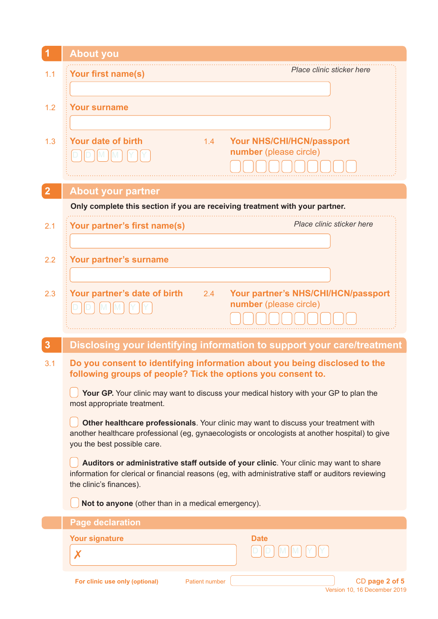| $\blacktriangleleft$ | <b>About you</b>                                                                                                                           |  |  |  |  |
|----------------------|--------------------------------------------------------------------------------------------------------------------------------------------|--|--|--|--|
| 1.1                  | Place clinic sticker here<br>Your first name(s)                                                                                            |  |  |  |  |
|                      |                                                                                                                                            |  |  |  |  |
| 1.2                  | <b>Your surname</b>                                                                                                                        |  |  |  |  |
|                      |                                                                                                                                            |  |  |  |  |
| 1.3                  | <b>Your date of birth</b><br><b>Your NHS/CHI/HCN/passport</b><br>1.4                                                                       |  |  |  |  |
|                      | number (please circle)                                                                                                                     |  |  |  |  |
|                      |                                                                                                                                            |  |  |  |  |
| $\overline{2}$       | <b>About your partner</b>                                                                                                                  |  |  |  |  |
|                      | Only complete this section if you are receiving treatment with your partner.                                                               |  |  |  |  |
| 2.1                  | Place clinic sticker here<br>Your partner's first name(s)                                                                                  |  |  |  |  |
|                      |                                                                                                                                            |  |  |  |  |
| 2.2                  | Your partner's surname                                                                                                                     |  |  |  |  |
|                      |                                                                                                                                            |  |  |  |  |
| 2.3                  | Your partner's date of birth<br>Your partner's NHS/CHI/HCN/passport<br>2.4                                                                 |  |  |  |  |
|                      | number (please circle)                                                                                                                     |  |  |  |  |
|                      |                                                                                                                                            |  |  |  |  |
| 3                    | Disclosing your identifying information to support your care/treatment                                                                     |  |  |  |  |
| 3.1                  | Do you consent to identifying information about you being disclosed to the<br>following groups of people? Tick the options you consent to. |  |  |  |  |
|                      | <b>Your GP.</b> Your clinic may want to discuss your medical history with your GP to plan the<br>most appropriate treatment.               |  |  |  |  |
|                      | Other healthcare professionals. Your clinic may want to discuss your treatment with                                                        |  |  |  |  |
|                      | another healthcare professional (eg, gynaecologists or oncologists at another hospital) to give<br>you the best possible care.             |  |  |  |  |
|                      | Auditors or administrative staff outside of your clinic. Your clinic may want to share                                                     |  |  |  |  |
|                      | information for clerical or financial reasons (eg, with administrative staff or auditors reviewing<br>the clinic's finances).              |  |  |  |  |
|                      | Not to anyone (other than in a medical emergency).                                                                                         |  |  |  |  |
|                      | <b>Page declaration</b>                                                                                                                    |  |  |  |  |
|                      | <b>Your signature</b><br><b>Date</b>                                                                                                       |  |  |  |  |
|                      | X                                                                                                                                          |  |  |  |  |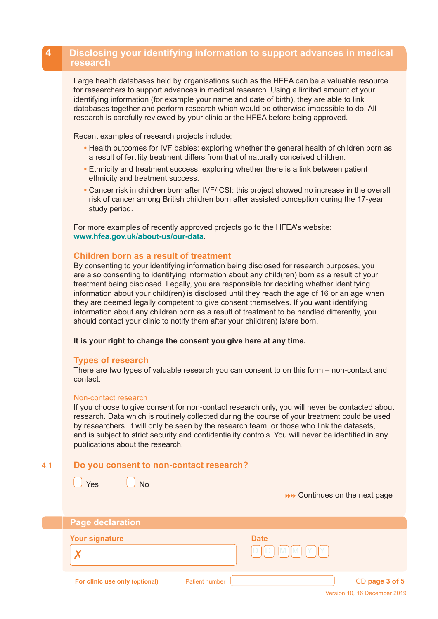### **4 Disclosing your identifying information to support advances in medical research**

Large health databases held by organisations such as the HFEA can be a valuable resource for researchers to support advances in medical research. Using a limited amount of your identifying information (for example your name and date of birth), they are able to link databases together and perform research which would be otherwise impossible to do. All research is carefully reviewed by your clinic or the HFEA before being approved.

Recent examples of research projects include:

- **•** Health outcomes for IVF babies: exploring whether the general health of children born as a result of fertility treatment differs from that of naturally conceived children.
- **•** Ethnicity and treatment success: exploring whether there is a link between patient ethnicity and treatment success.
- **•** Cancer risk in children born after IVF/ICSI: this project showed no increase in the overall risk of cancer among British children born after assisted conception during the 17-year study period.

For more examples of recently approved projects go to the HFEA's website: **www.hfea.gov.uk/about-us/our-data**.

### **Children born as a result of treatment**

By consenting to your identifying information being disclosed for research purposes, you are also consenting to identifying information about any child(ren) born as a result of your treatment being disclosed. Legally, you are responsible for deciding whether identifying information about your child(ren) is disclosed until they reach the age of 16 or an age when they are deemed legally competent to give consent themselves. If you want identifying information about any children born as a result of treatment to be handled differently, you should contact your clinic to notify them after your child(ren) is/are born.

### **It is your right to change the consent you give here at any time.**

### **Types of research**

There are two types of valuable research you can consent to on this form – non-contact and contact.

#### Non-contact research

If you choose to give consent for non-contact research only, you will never be contacted about research. Data which is routinely collected during the course of your treatment could be used by researchers. It will only be seen by the research team, or those who link the datasets, and is subject to strict security and confidentiality controls. You will never be identified in any publications about the research.

#### **Do you consent to non-contact research?** 4.1

 $\sqrt{Y}$ es  $\sqrt{Y}$ No

| <b>Page declaration</b>        |                       |                                       |                |
|--------------------------------|-----------------------|---------------------------------------|----------------|
| <b>Your signature</b>          |                       | <b>Date</b><br>[M][M][Y][Y]<br>D<br>D |                |
| For clinic use only (optional) | <b>Patient number</b> |                                       | CD page 3 of 5 |

**NO Continues on the next page**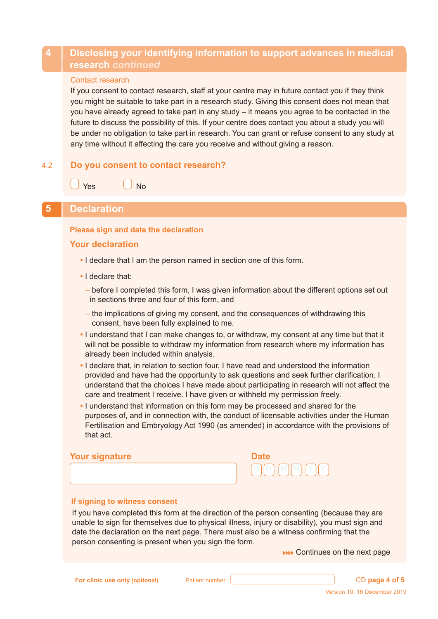## **4 Disclosing your identifying information to support advances in medical research** *continued*

### Contact research

If you consent to contact research, staff at your centre may in future contact you if they think you might be suitable to take part in a research study. Giving this consent does not mean that you have already agreed to take part in any study – it means you agree to be contacted in the future to discuss the possibility of this. If your centre does contact you about a study you will be under no obligation to take part in research. You can grant or refuse consent to any study at any time without it affecting the care you receive and without giving a reason.

#### **Do you consent to contact research?** 4.2

Yes  $\vert$  No

### **5 Declaration**

### **Please sign and date the declaration**

### **Your declaration**

- I declare that I am the person named in section one of this form.
- I declare that:
	- before I completed this form, I was given information about the different options set out in sections three and four of this form, and
	- the implications of giving my consent, and the consequences of withdrawing this consent, have been fully explained to me.
- **•** I understand that I can make changes to, or withdraw, my consent at any time but that it will not be possible to withdraw my information from research where my information has already been included within analysis.
- **•** I declare that, in relation to section four, I have read and understood the information provided and have had the opportunity to ask questions and seek further clarification. I understand that the choices I have made about participating in research will not affect the care and treatment I receive. I have given or withheld my permission freely.
- **•** I understand that information on this form may be processed and shared for the purposes of, and in connection with, the conduct of licensable activities under the Human Fertilisation and Embryology Act 1990 (as amended) in accordance with the provisions of that act.

### **Your signature Date**



### **If signing to witness consent**

 If you have completed this form at the direction of the person consenting (because they are unable to sign for themselves due to physical illness, injury or disability), you must sign and date the declaration on the next page. There must also be a witness confirming that the person consenting is present when you sign the form.

**NO Continues on the next page** 

**For clinic use only (optional)** Patient number **CD Particle 1.1 CD page 4 of 5**